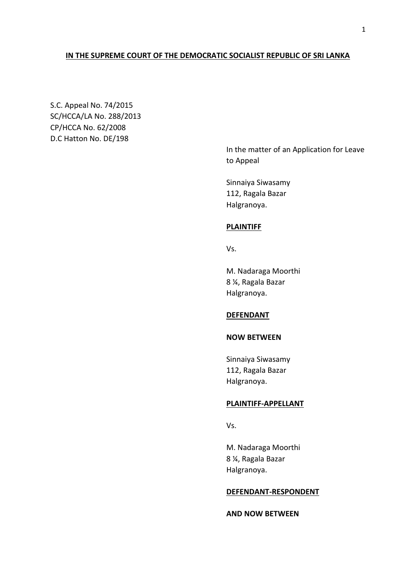## **IN THE SUPREME COURT OF THE DEMOCRATIC SOCIALIST REPUBLIC OF SRI LANKA**

S.C. Appeal No. 74/2015 SC/HCCA/LA No. 288/2013 CP/HCCA No. 62/2008 D.C Hatton No. DE/198

> In the matter of an Application for Leave to Appeal

Sinnaiya Siwasamy 112, Ragala Bazar Halgranoya.

## **PLAINTIFF**

Vs.

M. Nadaraga Moorthi 8 ¼, Ragala Bazar Halgranoya.

#### **DEFENDANT**

### **NOW BETWEEN**

Sinnaiya Siwasamy 112, Ragala Bazar Halgranoya.

## **PLAINTIFF-APPELLANT**

Vs.

M. Nadaraga Moorthi 8 ¼, Ragala Bazar Halgranoya.

#### **DEFENDANT-RESPONDENT**

**AND NOW BETWEEN**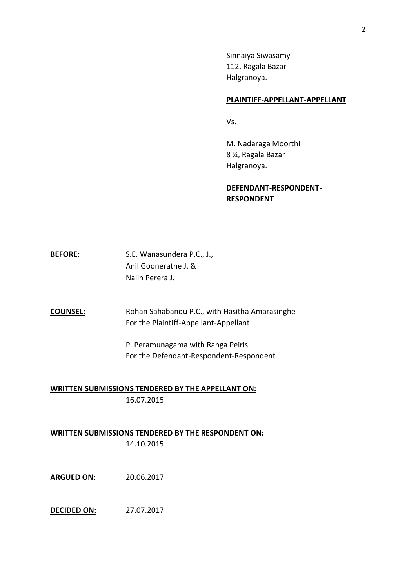Sinnaiya Siwasamy 112, Ragala Bazar Halgranoya.

## **PLAINTIFF-APPELLANT-APPELLANT**

Vs.

M. Nadaraga Moorthi 8 ¼, Ragala Bazar Halgranoya.

# **DEFENDANT-RESPONDENT-RESPONDENT**

| <b>BEFORE:</b> | S.E. Wanasundera P.C., J., |
|----------------|----------------------------|
|                | Anil Gooneratne J. &       |
|                | Nalin Perera J.            |

**COUNSEL:** Rohan Sahabandu P.C., with Hasitha Amarasinghe For the Plaintiff-Appellant-Appellant

> P. Peramunagama with Ranga Peiris For the Defendant-Respondent-Respondent

## **WRITTEN SUBMISSIONS TENDERED BY THE APPELLANT ON:**

16.07.2015

## **WRITTEN SUBMISSIONS TENDERED BY THE RESPONDENT ON:** 14.10.2015

**ARGUED ON:** 20.06.2017

**DECIDED ON:** 27.07.2017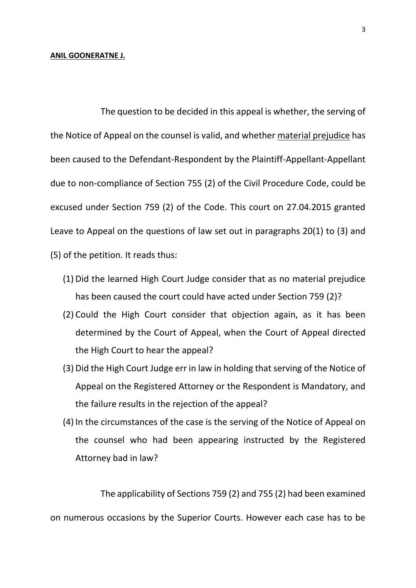### **ANIL GOONERATNE J.**

The question to be decided in this appeal is whether, the serving of the Notice of Appeal on the counsel is valid, and whether material prejudice has been caused to the Defendant-Respondent by the Plaintiff-Appellant-Appellant due to non-compliance of Section 755 (2) of the Civil Procedure Code, could be excused under Section 759 (2) of the Code. This court on 27.04.2015 granted Leave to Appeal on the questions of law set out in paragraphs 20(1) to (3) and (5) of the petition. It reads thus:

- (1) Did the learned High Court Judge consider that as no material prejudice has been caused the court could have acted under Section 759 (2)?
- (2) Could the High Court consider that objection again, as it has been determined by the Court of Appeal, when the Court of Appeal directed the High Court to hear the appeal?
- (3) Did the High Court Judge err in law in holding that serving of the Notice of Appeal on the Registered Attorney or the Respondent is Mandatory, and the failure results in the rejection of the appeal?
- (4) In the circumstances of the case is the serving of the Notice of Appeal on the counsel who had been appearing instructed by the Registered Attorney bad in law?

The applicability of Sections 759 (2) and 755 (2) had been examined on numerous occasions by the Superior Courts. However each case has to be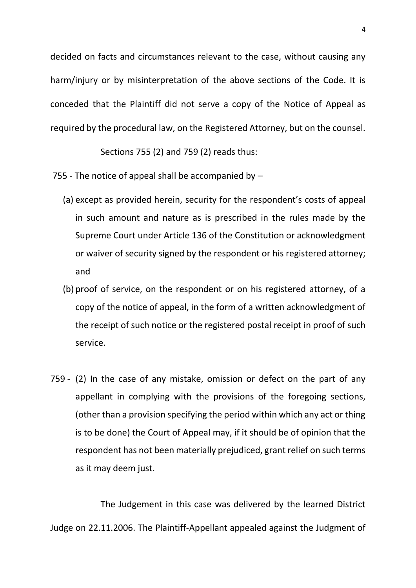decided on facts and circumstances relevant to the case, without causing any harm/injury or by misinterpretation of the above sections of the Code. It is conceded that the Plaintiff did not serve a copy of the Notice of Appeal as required by the procedural law, on the Registered Attorney, but on the counsel.

Sections 755 (2) and 759 (2) reads thus:

- 755 The notice of appeal shall be accompanied by  $-$ 
	- (a) except as provided herein, security for the respondent's costs of appeal in such amount and nature as is prescribed in the rules made by the Supreme Court under Article 136 of the Constitution or acknowledgment or waiver of security signed by the respondent or his registered attorney; and
	- (b) proof of service, on the respondent or on his registered attorney, of a copy of the notice of appeal, in the form of a written acknowledgment of the receipt of such notice or the registered postal receipt in proof of such service.
- 759 (2) In the case of any mistake, omission or defect on the part of any appellant in complying with the provisions of the foregoing sections, (other than a provision specifying the period within which any act or thing is to be done) the Court of Appeal may, if it should be of opinion that the respondent has not been materially prejudiced, grant relief on such terms as it may deem just.

The Judgement in this case was delivered by the learned District Judge on 22.11.2006. The Plaintiff-Appellant appealed against the Judgment of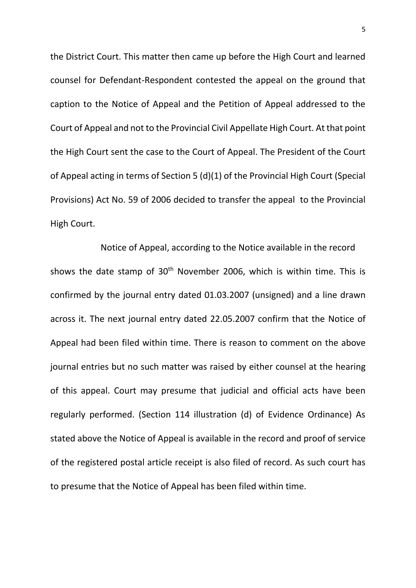the District Court. This matter then came up before the High Court and learned counsel for Defendant-Respondent contested the appeal on the ground that caption to the Notice of Appeal and the Petition of Appeal addressed to the Court of Appeal and not to the Provincial Civil Appellate High Court. At that point the High Court sent the case to the Court of Appeal. The President of the Court of Appeal acting in terms of Section 5 (d)(1) of the Provincial High Court (Special Provisions) Act No. 59 of 2006 decided to transfer the appeal to the Provincial High Court.

Notice of Appeal, according to the Notice available in the record shows the date stamp of  $30<sup>th</sup>$  November 2006, which is within time. This is confirmed by the journal entry dated 01.03.2007 (unsigned) and a line drawn across it. The next journal entry dated 22.05.2007 confirm that the Notice of Appeal had been filed within time. There is reason to comment on the above journal entries but no such matter was raised by either counsel at the hearing of this appeal. Court may presume that judicial and official acts have been regularly performed. (Section 114 illustration (d) of Evidence Ordinance) As stated above the Notice of Appeal is available in the record and proof of service of the registered postal article receipt is also filed of record. As such court has to presume that the Notice of Appeal has been filed within time.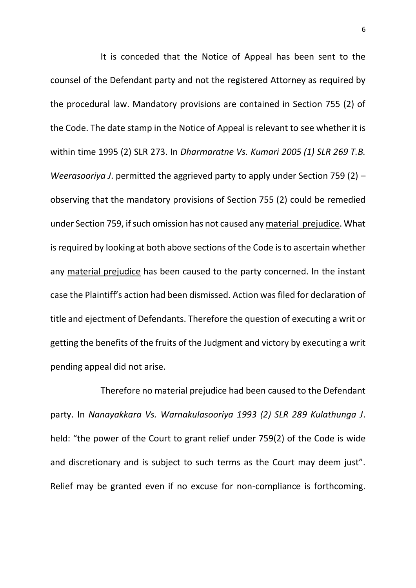It is conceded that the Notice of Appeal has been sent to the counsel of the Defendant party and not the registered Attorney as required by the procedural law. Mandatory provisions are contained in Section 755 (2) of the Code. The date stamp in the Notice of Appeal is relevant to see whether it is within time 1995 (2) SLR 273. In *Dharmaratne Vs. Kumari 2005 (1) SLR 269 T.B. Weerasooriya J*. permitted the aggrieved party to apply under Section 759 (2) – observing that the mandatory provisions of Section 755 (2) could be remedied under Section 759, if such omission has not caused any material prejudice. What is required by looking at both above sections of the Code is to ascertain whether any material prejudice has been caused to the party concerned. In the instant case the Plaintiff's action had been dismissed. Action was filed for declaration of title and ejectment of Defendants. Therefore the question of executing a writ or getting the benefits of the fruits of the Judgment and victory by executing a writ pending appeal did not arise.

Therefore no material prejudice had been caused to the Defendant party. In *Nanayakkara Vs. Warnakulasooriya 1993 (2) SLR 289 Kulathunga J*. held: "the power of the Court to grant relief under 759(2) of the Code is wide and discretionary and is subject to such terms as the Court may deem just". Relief may be granted even if no excuse for non-compliance is forthcoming.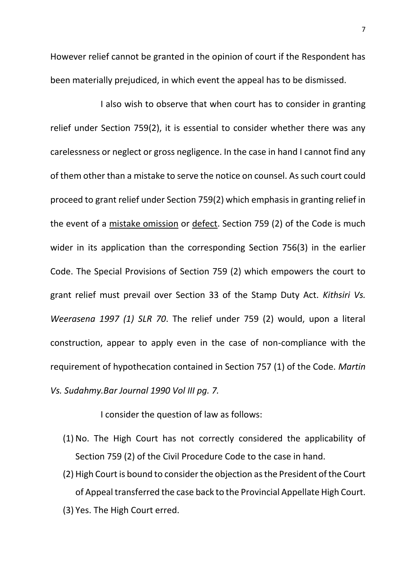However relief cannot be granted in the opinion of court if the Respondent has been materially prejudiced, in which event the appeal has to be dismissed.

I also wish to observe that when court has to consider in granting relief under Section 759(2), it is essential to consider whether there was any carelessness or neglect or gross negligence. In the case in hand I cannot find any of them other than a mistake to serve the notice on counsel. As such court could proceed to grant relief under Section 759(2) which emphasis in granting relief in the event of a mistake omission or defect. Section 759 (2) of the Code is much wider in its application than the corresponding Section 756(3) in the earlier Code. The Special Provisions of Section 759 (2) which empowers the court to grant relief must prevail over Section 33 of the Stamp Duty Act. *Kithsiri Vs. Weerasena 1997 (1) SLR 70*. The relief under 759 (2) would, upon a literal construction, appear to apply even in the case of non-compliance with the requirement of hypothecation contained in Section 757 (1) of the Code. *Martin Vs. Sudahmy.Bar Journal 1990 Vol III pg. 7.* 

I consider the question of law as follows:

- (1) No. The High Court has not correctly considered the applicability of Section 759 (2) of the Civil Procedure Code to the case in hand.
- (2) High Court is bound to consider the objection as the President of the Court of Appeal transferred the case back to the Provincial Appellate High Court. (3) Yes. The High Court erred.